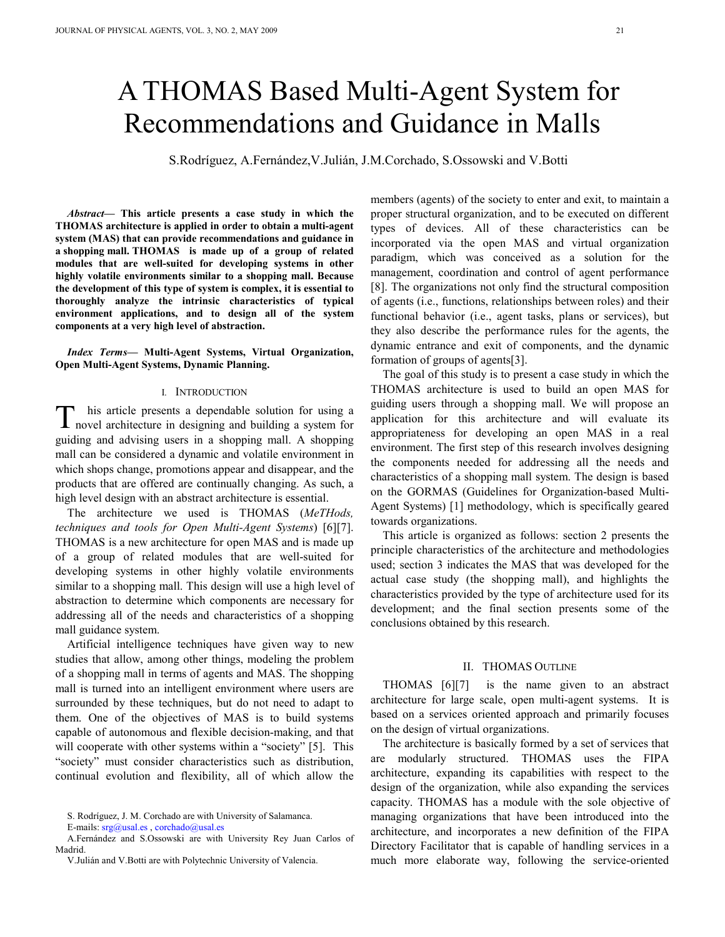# A THOMAS Based Multi-Agent System for Recommendations and Guidance in Malls

S.Rodríguez, A.Fernández,V.Julián, J.M.Corchado, S.Ossowski and V.Botti

*Abstract***— This article presents a case study in which the THOMAS architecture is applied in order to obtain a multi-agent system (MAS) that can provide recommendations and guidance in a shopping mall. THOMAS is made up of a group of related modules that are well-suited for developing systems in other highly volatile environments similar to a shopping mall. Because the development of this type of system is complex, it is essential to thoroughly analyze the intrinsic characteristics of typical environment applications, and to design all of the system components at a very high level of abstraction.** 

*Index Terms***— Multi-Agent Systems, Virtual Organization, Open Multi-Agent Systems, Dynamic Planning.** 

#### I. INTRODUCTION

his article presents a dependable solution for using a T his article presents a dependable solution for using a novel architecture in designing and building a system for guiding and advising users in a shopping mall. A shopping mall can be considered a dynamic and volatile environment in which shops change, promotions appear and disappear, and the products that are offered are continually changing. As such, a high level design with an abstract architecture is essential.

The architecture we used is THOMAS (*MeTHods, techniques and tools for Open Multi-Agent Systems*) [6][7]. THOMAS is a new architecture for open MAS and is made up of a group of related modules that are well-suited for developing systems in other highly volatile environments similar to a shopping mall. This design will use a high level of abstraction to determine which components are necessary for addressing all of the needs and characteristics of a shopping mall guidance system.

Artificial intelligence techniques have given way to new studies that allow, among other things, modeling the problem of a shopping mall in terms of agents and MAS. The shopping mall is turned into an intelligent environment where users are surrounded by these techniques, but do not need to adapt to them. One of the objectives of MAS is to build systems capable of autonomous and flexible decision-making, and that will cooperate with other systems within a "society" [5]. This "society" must consider characteristics such as distribution, continual evolution and flexibility, all of which allow the members (agents) of the society to enter and exit, to maintain a proper structural organization, and to be executed on different types of devices. All of these characteristics can be incorporated via the open MAS and virtual organization paradigm, which was conceived as a solution for the management, coordination and control of agent performance [8]. The organizations not only find the structural composition of agents (i.e., functions, relationships between roles) and their functional behavior (i.e., agent tasks, plans or services), but they also describe the performance rules for the agents, the dynamic entrance and exit of components, and the dynamic formation of groups of agents[3].

The goal of this study is to present a case study in which the THOMAS architecture is used to build an open MAS for guiding users through a shopping mall. We will propose an application for this architecture and will evaluate its appropriateness for developing an open MAS in a real environment. The first step of this research involves designing the components needed for addressing all the needs and characteristics of a shopping mall system. The design is based on the GORMAS (Guidelines for Organization-based Multi-Agent Systems) [1] methodology, which is specifically geared towards organizations.

This article is organized as follows: section 2 presents the principle characteristics of the architecture and methodologies used; section 3 indicates the MAS that was developed for the actual case study (the shopping mall), and highlights the characteristics provided by the type of architecture used for its development; and the final section presents some of the conclusions obtained by this research.

### II. THOMAS OUTLINE

THOMAS [6][7] is the name given to an abstract architecture for large scale, open multi-agent systems. It is based on a services oriented approach and primarily focuses on the design of virtual organizations.

The architecture is basically formed by a set of services that are modularly structured. THOMAS uses the FIPA architecture, expanding its capabilities with respect to the design of the organization, while also expanding the services capacity. THOMAS has a module with the sole objective of managing organizations that have been introduced into the architecture, and incorporates a new definition of the FIPA Directory Facilitator that is capable of handling services in a much more elaborate way, following the service-oriented

S. Rodríguez, J. M. Corchado are with University of Salamanca.

E-mails: srg@usal.es , corchado@usal.es

A.Fernández and S.Ossowski are with University Rey Juan Carlos of Madrid.

V.Julián and V.Botti are with Polytechnic University of Valencia.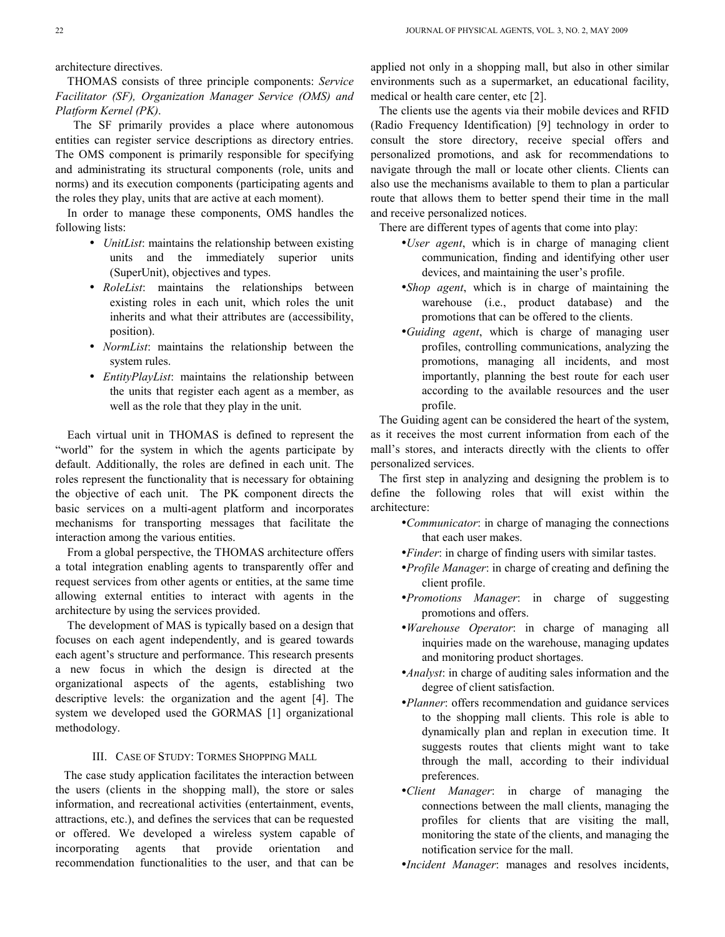architecture directives.

THOMAS consists of three principle components: *Service Facilitator (SF), Organization Manager Service (OMS) and Platform Kernel (PK)*.

 The SF primarily provides a place where autonomous entities can register service descriptions as directory entries. The OMS component is primarily responsible for specifying and administrating its structural components (role, units and norms) and its execution components (participating agents and the roles they play, units that are active at each moment).

In order to manage these components, OMS handles the following lists:

- *UnitList*: maintains the relationship between existing units and the immediately superior units (SuperUnit), objectives and types.
- *RoleList*: maintains the relationships between existing roles in each unit, which roles the unit inherits and what their attributes are (accessibility, position).
- *NormList*: maintains the relationship between the system rules.
- *EntityPlayList*: maintains the relationship between the units that register each agent as a member, as well as the role that they play in the unit.

Each virtual unit in THOMAS is defined to represent the "world" for the system in which the agents participate by default. Additionally, the roles are defined in each unit. The roles represent the functionality that is necessary for obtaining the objective of each unit. The PK component directs the basic services on a multi-agent platform and incorporates mechanisms for transporting messages that facilitate the interaction among the various entities.

From a global perspective, the THOMAS architecture offers a total integration enabling agents to transparently offer and request services from other agents or entities, at the same time allowing external entities to interact with agents in the architecture by using the services provided.

The development of MAS is typically based on a design that focuses on each agent independently, and is geared towards each agent's structure and performance. This research presents a new focus in which the design is directed at the organizational aspects of the agents, establishing two descriptive levels: the organization and the agent [4]. The system we developed used the GORMAS [1] organizational methodology.

# III. CASE OF STUDY: TORMES SHOPPING MALL

The case study application facilitates the interaction between the users (clients in the shopping mall), the store or sales information, and recreational activities (entertainment, events, attractions, etc.), and defines the services that can be requested or offered. We developed a wireless system capable of incorporating agents that provide orientation and recommendation functionalities to the user, and that can be

applied not only in a shopping mall, but also in other similar environments such as a supermarket, an educational facility, medical or health care center, etc [2].

The clients use the agents via their mobile devices and RFID (Radio Frequency Identification) [9] technology in order to consult the store directory, receive special offers and personalized promotions, and ask for recommendations to navigate through the mall or locate other clients. Clients can also use the mechanisms available to them to plan a particular route that allows them to better spend their time in the mall and receive personalized notices.

There are different types of agents that come into play:

- •*User agent*, which is in charge of managing client communication, finding and identifying other user devices, and maintaining the user's profile.
- •*Shop agent*, which is in charge of maintaining the warehouse (i.e., product database) and the promotions that can be offered to the clients.
- •*Guiding agent*, which is charge of managing user profiles, controlling communications, analyzing the promotions, managing all incidents, and most importantly, planning the best route for each user according to the available resources and the user profile.

The Guiding agent can be considered the heart of the system, as it receives the most current information from each of the mall's stores, and interacts directly with the clients to offer personalized services.

The first step in analyzing and designing the problem is to define the following roles that will exist within the architecture:

- •*Communicator*: in charge of managing the connections that each user makes.
- •*Finder*: in charge of finding users with similar tastes.
- •*Profile Manager*: in charge of creating and defining the client profile.
- •*Promotions Manager*: in charge of suggesting promotions and offers.
- •*Warehouse Operator*: in charge of managing all inquiries made on the warehouse, managing updates and monitoring product shortages.
- •*Analyst*: in charge of auditing sales information and the degree of client satisfaction.
- •*Planner*: offers recommendation and guidance services to the shopping mall clients. This role is able to dynamically plan and replan in execution time. It suggests routes that clients might want to take through the mall, according to their individual preferences.
- •*Client Manager*: in charge of managing the connections between the mall clients, managing the profiles for clients that are visiting the mall, monitoring the state of the clients, and managing the notification service for the mall.
- •*Incident Manager*: manages and resolves incidents,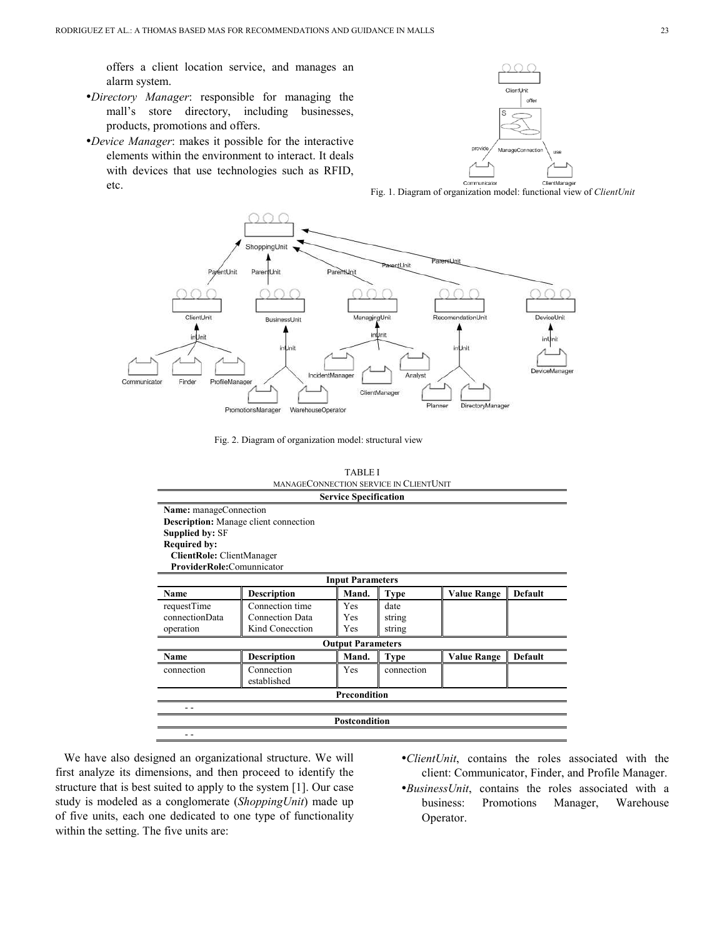offers a client location service, and manages an alarm system.

- •*Directory Manager*: responsible for managing the mall's store directory, including businesses, products, promotions and offers.
- •*Device Manager*: makes it possible for the interactive elements within the environment to interact. It deals with devices that use technologies such as RFID, etc.



Fig. 1. Diagram of organization model: functional view of *ClientUnit*



Fig. 2. Diagram of organization model: structural view

| <b>TABLEI</b>                          |  |
|----------------------------------------|--|
| MANAGECONNECTION SERVICE IN CLIENTUNIT |  |
| <b>Service Specification</b>           |  |
|                                        |  |

| Name: manageConnection    |                                              |                         |             |                    |                |
|---------------------------|----------------------------------------------|-------------------------|-------------|--------------------|----------------|
|                           | <b>Description:</b> Manage client connection |                         |             |                    |                |
| <b>Supplied by: SF</b>    |                                              |                         |             |                    |                |
| <b>Required by:</b>       |                                              |                         |             |                    |                |
| ClientRole: ClientManager |                                              |                         |             |                    |                |
| ProviderRole:Comunnicator |                                              |                         |             |                    |                |
|                           |                                              | <b>Input Parameters</b> |             |                    |                |
| Name                      | <b>Description</b>                           | Mand.                   | <b>Type</b> | <b>Value Range</b> | <b>Default</b> |
| requestTime               | Connection time                              | Yes                     | date        |                    |                |
| connectionData            | <b>Connection Data</b>                       | Yes                     | string      |                    |                |
| operation                 | Kind Conecction                              | Yes                     | string      |                    |                |
| <b>Output Parameters</b>  |                                              |                         |             |                    |                |
| Name                      | <b>Description</b>                           | Mand.                   | <b>Type</b> | <b>Value Range</b> | <b>Default</b> |
| connection                | Connection                                   | Yes                     | connection  |                    |                |
|                           | established                                  |                         |             |                    |                |
| <b>Precondition</b>       |                                              |                         |             |                    |                |
|                           |                                              |                         |             |                    |                |
| <b>Postcondition</b>      |                                              |                         |             |                    |                |
|                           |                                              |                         |             |                    |                |

We have also designed an organizational structure. We will first analyze its dimensions, and then proceed to identify the structure that is best suited to apply to the system [1]. Our case study is modeled as a conglomerate (*ShoppingUnit*) made up of five units, each one dedicated to one type of functionality within the setting. The five units are:

- •*ClientUnit*, contains the roles associated with the client: Communicator, Finder, and Profile Manager.
- •*BusinessUnit*, contains the roles associated with a business: Promotions Manager, Warehouse Operator.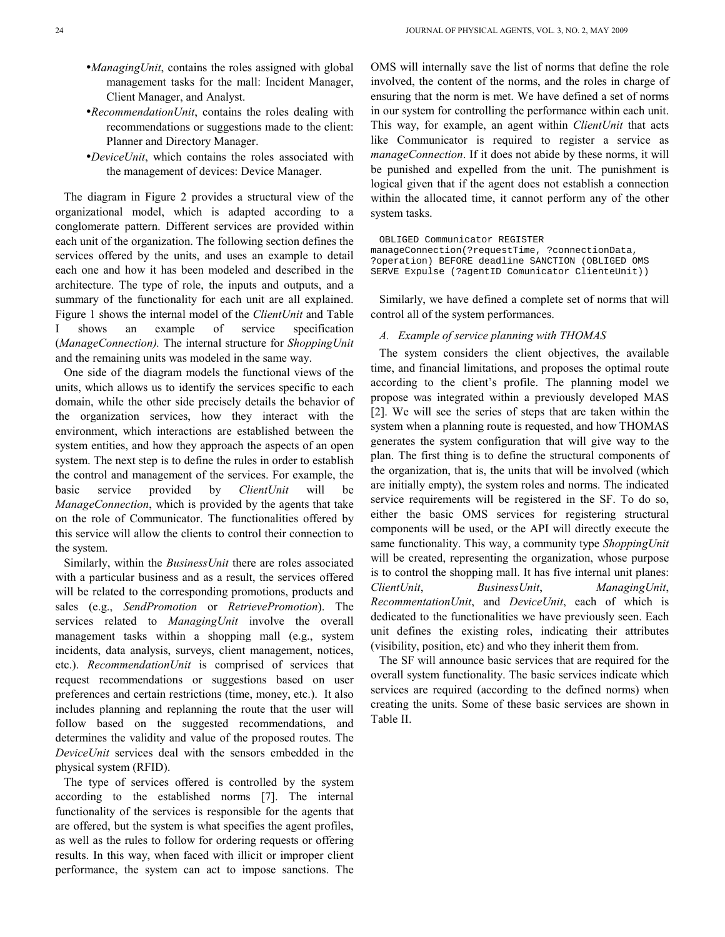- •*ManagingUnit*, contains the roles assigned with global management tasks for the mall: Incident Manager, Client Manager, and Analyst.
- •*RecommendationUnit*, contains the roles dealing with recommendations or suggestions made to the client: Planner and Directory Manager.
- •*DeviceUnit*, which contains the roles associated with the management of devices: Device Manager.

The diagram in Figure 2 provides a structural view of the organizational model, which is adapted according to a conglomerate pattern. Different services are provided within each unit of the organization. The following section defines the services offered by the units, and uses an example to detail each one and how it has been modeled and described in the architecture. The type of role, the inputs and outputs, and a summary of the functionality for each unit are all explained. Figure 1 shows the internal model of the *ClientUnit* and Table I shows an example of service specification (*ManageConnection).* The internal structure for *ShoppingUnit* and the remaining units was modeled in the same way.

One side of the diagram models the functional views of the units, which allows us to identify the services specific to each domain, while the other side precisely details the behavior of the organization services, how they interact with the environment, which interactions are established between the system entities, and how they approach the aspects of an open system. The next step is to define the rules in order to establish the control and management of the services. For example, the basic service provided by *ClientUnit* will be *ManageConnection*, which is provided by the agents that take on the role of Communicator. The functionalities offered by this service will allow the clients to control their connection to the system.

Similarly, within the *BusinessUnit* there are roles associated with a particular business and as a result, the services offered will be related to the corresponding promotions, products and sales (e.g., *SendPromotion* or *RetrievePromotion*). The services related to *ManagingUnit* involve the overall management tasks within a shopping mall (e.g., system incidents, data analysis, surveys, client management, notices, etc.). *RecommendationUnit* is comprised of services that request recommendations or suggestions based on user preferences and certain restrictions (time, money, etc.). It also includes planning and replanning the route that the user will follow based on the suggested recommendations, and determines the validity and value of the proposed routes. The *DeviceUnit* services deal with the sensors embedded in the physical system (RFID).

The type of services offered is controlled by the system according to the established norms [7]. The internal functionality of the services is responsible for the agents that are offered, but the system is what specifies the agent profiles, as well as the rules to follow for ordering requests or offering results. In this way, when faced with illicit or improper client performance, the system can act to impose sanctions. The OMS will internally save the list of norms that define the role involved, the content of the norms, and the roles in charge of ensuring that the norm is met. We have defined a set of norms in our system for controlling the performance within each unit. This way, for example, an agent within *ClientUnit* that acts like Communicator is required to register a service as *manageConnection*. If it does not abide by these norms, it will be punished and expelled from the unit. The punishment is logical given that if the agent does not establish a connection within the allocated time, it cannot perform any of the other system tasks.

OBLIGED Communicator REGISTER manageConnection(?requestTime, ?connectionData, ?operation) BEFORE deadline SANCTION (OBLIGED OMS SERVE Expulse (?agentID Comunicator ClienteUnit))

Similarly, we have defined a complete set of norms that will control all of the system performances.

#### *A. Example of service planning with THOMAS*

The system considers the client objectives, the available time, and financial limitations, and proposes the optimal route according to the client's profile. The planning model we propose was integrated within a previously developed MAS [2]. We will see the series of steps that are taken within the system when a planning route is requested, and how THOMAS generates the system configuration that will give way to the plan. The first thing is to define the structural components of the organization, that is, the units that will be involved (which are initially empty), the system roles and norms. The indicated service requirements will be registered in the SF. To do so, either the basic OMS services for registering structural components will be used, or the API will directly execute the same functionality. This way, a community type *ShoppingUnit* will be created, representing the organization, whose purpose is to control the shopping mall. It has five internal unit planes: *ClientUnit*, *BusinessUnit*, *ManagingUnit*, *RecommentationUnit*, and *DeviceUnit*, each of which is dedicated to the functionalities we have previously seen. Each unit defines the existing roles, indicating their attributes (visibility, position, etc) and who they inherit them from.

The SF will announce basic services that are required for the overall system functionality. The basic services indicate which services are required (according to the defined norms) when creating the units. Some of these basic services are shown in Table II.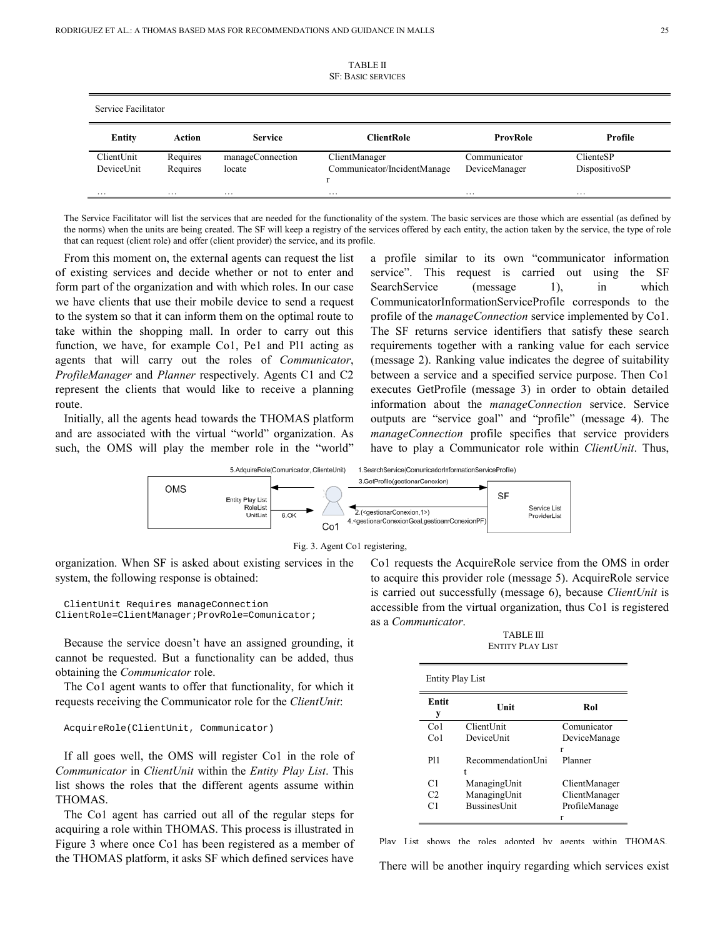| ۱ | i |
|---|---|
|   |   |

| <b>TABLE II</b>           |  |  |
|---------------------------|--|--|
| <b>SF: BASIC SERVICES</b> |  |  |

| Service Facilitator |                     |                  |                             |               |               |
|---------------------|---------------------|------------------|-----------------------------|---------------|---------------|
| <b>Entity</b>       | Action              | <b>Service</b>   | <b>ClientRole</b>           | ProvRole      | Profile       |
| ClientUnit          | Requires            | manageConnection | ClientManager               | Communicator  | ClienteSP     |
| DeviceUnit          | Requires            | locate           | Communicator/IncidentManage | DeviceManager | DispositivoSP |
| $\cdots$            | $\cdot \cdot \cdot$ | $\cdots$         | $\cdots$                    | $\cdots$      | $\cdots$      |

The Service Facilitator will list the services that are needed for the functionality of the system. The basic services are those which are essential (as defined by the norms) when the units are being created. The SF will keep a registry of the services offered by each entity, the action taken by the service, the type of role that can request (client role) and offer (client provider) the service, and its profile.

From this moment on, the external agents can request the list of existing services and decide whether or not to enter and form part of the organization and with which roles. In our case we have clients that use their mobile device to send a request to the system so that it can inform them on the optimal route to take within the shopping mall. In order to carry out this function, we have, for example Co1, Pe1 and Pl1 acting as agents that will carry out the roles of *Communicator*, *ProfileManager* and *Planner* respectively. Agents C1 and C2 represent the clients that would like to receive a planning route.

Initially, all the agents head towards the THOMAS platform and are associated with the virtual "world" organization. As such, the OMS will play the member role in the "world"

a profile similar to its own "communicator information service". This request is carried out using the SF SearchService (message 1), in which CommunicatorInformationServiceProfile corresponds to the profile of the *manageConnection* service implemented by Co1. The SF returns service identifiers that satisfy these search requirements together with a ranking value for each service (message 2). Ranking value indicates the degree of suitability between a service and a specified service purpose. Then Co1 executes GetProfile (message 3) in order to obtain detailed information about the *manageConnection* service. Service outputs are "service goal" and "profile" (message 4). The *manageConnection* profile specifies that service providers have to play a Communicator role within *ClientUnit*. Thus,





organization. When SF is asked about existing services in the system, the following response is obtained:

ClientUnit Requires manageConnection ClientRole=ClientManager;ProvRole=Comunicator;

Because the service doesn't have an assigned grounding, it cannot be requested. But a functionality can be added, thus obtaining the *Communicator* role.

The Co1 agent wants to offer that functionality, for which it requests receiving the Communicator role for the *ClientUnit*:

#### AcquireRole(ClientUnit, Communicator)

If all goes well, the OMS will register Co1 in the role of *Communicator* in *ClientUnit* within the *Entity Play List*. This list shows the roles that the different agents assume within THOMAS.

The Co1 agent has carried out all of the regular steps for acquiring a role within THOMAS. This process is illustrated in Figure 3 where once Co1 has been registered as a member of the THOMAS platform, it asks SF which defined services have

Co1 requests the AcquireRole service from the OMS in order to acquire this provider role (message 5). AcquireRole service is carried out successfully (message 6), because *ClientUnit* is accessible from the virtual organization, thus Co1 is registered as a *Communicator*.

TABLE III ENTITY PLAY LIST

| <b>Entity Play List</b> |                      |               |  |
|-------------------------|----------------------|---------------|--|
| Entit<br>у              | Unit                 | Rol           |  |
| Co1                     | ClientUnit           | Comunicator   |  |
| Co1                     | DeviceI Init         | DeviceManage  |  |
|                         |                      | r             |  |
| P11                     | RecommendationUni    | Planner       |  |
|                         | t                    |               |  |
| C1                      | ManagingUnit         | ClientManager |  |
| C <sub>2</sub>          | ManagingUnit         | ClientManager |  |
| $\cap$ 1                | <b>Bussines</b> Unit | ProfileManage |  |
|                         |                      | r             |  |

Play List shows the roles adonted by agents within THOMAS.

There will be another inquiry regarding which services exist